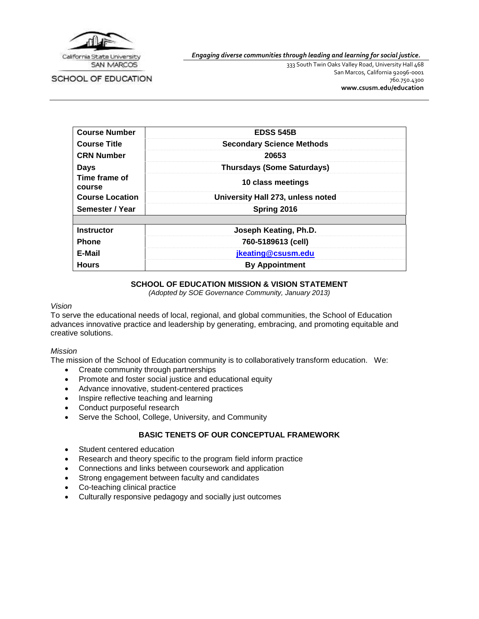

SCHOOL OF EDUCATION

*Engaging diverse communities through leading and learning for social justice.*

333 South Twin Oaks Valley Road, University Hall 468 San Marcos, California 92096-0001 760.750.4300 **[www.csusm.edu/education](http://www.csusm.edu/education)**

| <b>Course Number</b>    | <b>EDSS 545B</b>                  |
|-------------------------|-----------------------------------|
| <b>Course Title</b>     | <b>Secondary Science Methods</b>  |
| <b>CRN Number</b>       | 20653                             |
| Days                    | <b>Thursdays (Some Saturdays)</b> |
| Time frame of<br>course | 10 class meetings                 |
| <b>Course Location</b>  | University Hall 273, unless noted |
| Semester / Year         | Spring 2016                       |
|                         |                                   |
| <b>Instructor</b>       | Joseph Keating, Ph.D.             |
| <b>Phone</b>            | 760-5189613 (cell)                |
| E-Mail                  | jkeating@csusm.edu                |
| <b>Hours</b>            | <b>By Appointment</b>             |

# **SCHOOL OF EDUCATION MISSION & VISION STATEMENT**

*(Adopted by SOE Governance Community, January 2013)*

## *Vision*

To serve the educational needs of local, regional, and global communities, the School of Education advances innovative practice and leadership by generating, embracing, and promoting equitable and creative solutions.

#### *Mission*

The mission of the School of Education community is to collaboratively transform education. We:

- Create community through partnerships
- Promote and foster social justice and educational equity
- Advance innovative, student-centered practices
- Inspire reflective teaching and learning
- Conduct purposeful research
- Serve the School, College, University, and Community

# **BASIC TENETS OF OUR CONCEPTUAL FRAMEWORK**

- Student centered education
- Research and theory specific to the program field inform practice
- Connections and links between coursework and application
- Strong engagement between faculty and candidates
- Co-teaching clinical practice
- Culturally responsive pedagogy and socially just outcomes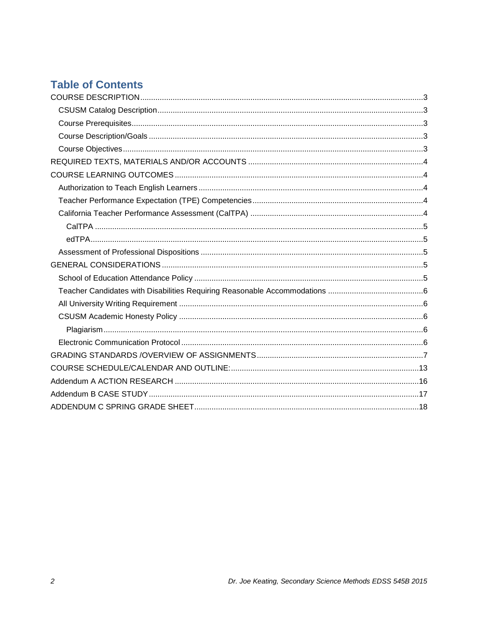# **Table of Contents**

<span id="page-1-0"></span>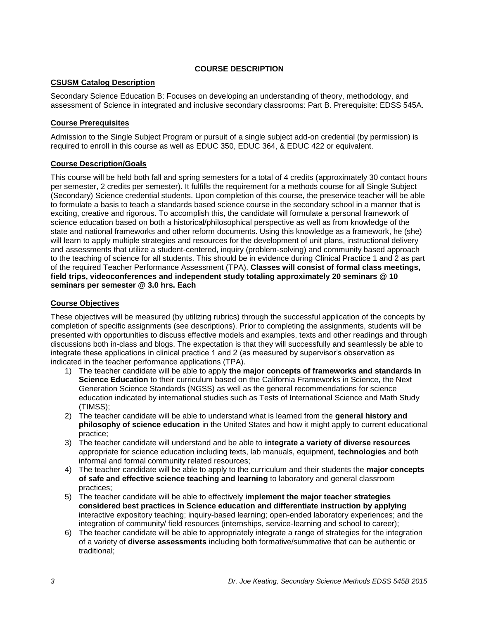# **COURSE DESCRIPTION**

# <span id="page-2-0"></span>**CSUSM Catalog Description**

Secondary Science Education B: Focuses on developing an understanding of theory, methodology, and assessment of Science in integrated and inclusive secondary classrooms: Part B. Prerequisite: EDSS 545A.

# <span id="page-2-1"></span>**Course Prerequisites**

Admission to the Single Subject Program or pursuit of a single subject add-on credential (by permission) is required to enroll in this course as well as EDUC 350, EDUC 364, & EDUC 422 or equivalent.

# <span id="page-2-2"></span>**Course Description/Goals**

This course will be held both fall and spring semesters for a total of 4 credits (approximately 30 contact hours per semester, 2 credits per semester). It fulfills the requirement for a methods course for all Single Subject (Secondary) Science credential students. Upon completion of this course, the preservice teacher will be able to formulate a basis to teach a standards based science course in the secondary school in a manner that is exciting, creative and rigorous. To accomplish this, the candidate will formulate a personal framework of science education based on both a historical/philosophical perspective as well as from knowledge of the state and national frameworks and other reform documents. Using this knowledge as a framework, he (she) will learn to apply multiple strategies and resources for the development of unit plans, instructional delivery and assessments that utilize a student-centered, inquiry (problem-solving) and community based approach to the teaching of science for all students. This should be in evidence during Clinical Practice 1 and 2 as part of the required Teacher Performance Assessment (TPA). **Classes will consist of formal class meetings, field trips, videoconferences and independent study totaling approximately 20 seminars @ 10 seminars per semester @ 3.0 hrs. Each**

# <span id="page-2-3"></span>**Course Objectives**

These objectives will be measured (by utilizing rubrics) through the successful application of the concepts by completion of specific assignments (see descriptions). Prior to completing the assignments, students will be presented with opportunities to discuss effective models and examples, texts and other readings and through discussions both in-class and blogs. The expectation is that they will successfully and seamlessly be able to integrate these applications in clinical practice 1 and 2 (as measured by supervisor's observation as indicated in the teacher performance applications (TPA).

- 1) The teacher candidate will be able to apply **the major concepts of frameworks and standards in Science Education** to their curriculum based on the California Frameworks in Science, the Next Generation Science Standards (NGSS) as well as the general recommendations for science education indicated by international studies such as Tests of International Science and Math Study (TIMSS);
- 2) The teacher candidate will be able to understand what is learned from the **general history and philosophy of science education** in the United States and how it might apply to current educational practice;
- 3) The teacher candidate will understand and be able to **integrate a variety of diverse resources**  appropriate for science education including texts, lab manuals, equipment, **technologies** and both informal and formal community related resources;
- 4) The teacher candidate will be able to apply to the curriculum and their students the **major concepts of safe and effective science teaching and learning** to laboratory and general classroom practices;
- 5) The teacher candidate will be able to effectively **implement the major teacher strategies considered best practices in Science education and differentiate instruction by applying** interactive expository teaching; inquiry-based learning; open-ended laboratory experiences; and the integration of community/ field resources (internships, service-learning and school to career);
- 6) The teacher candidate will be able to appropriately integrate a range of strategies for the integration of a variety of **diverse assessments** including both formative/summative that can be authentic or traditional;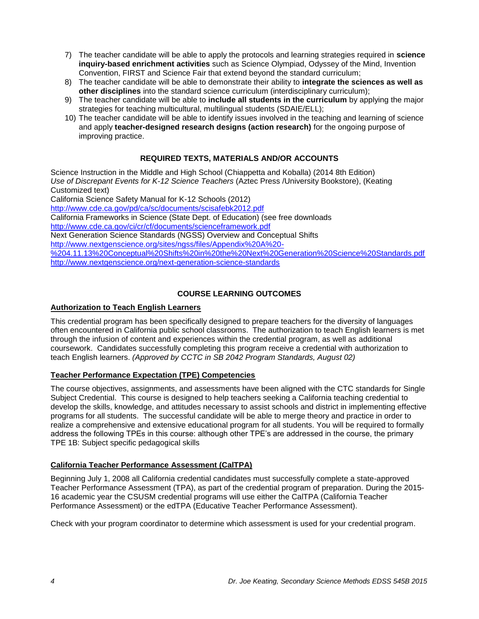- 7) The teacher candidate will be able to apply the protocols and learning strategies required in **science inquiry-based enrichment activities** such as Science Olympiad, Odyssey of the Mind, Invention Convention, FIRST and Science Fair that extend beyond the standard curriculum;
- 8) The teacher candidate will be able to demonstrate their ability to **integrate the sciences as well as other disciplines** into the standard science curriculum (interdisciplinary curriculum);
- 9) The teacher candidate will be able to **include all students in the curriculum** by applying the major strategies for teaching multicultural, multilingual students (SDAIE/ELL);
- 10) The teacher candidate will be able to identify issues involved in the teaching and learning of science and apply **teacher-designed research designs (action research)** for the ongoing purpose of improving practice.

# **REQUIRED TEXTS, MATERIALS AND/OR ACCOUNTS**

<span id="page-3-0"></span>Science Instruction in the Middle and High School (Chiappetta and Koballa) (2014 8th Edition) *Use of Discrepant Events for K-12 Science Teachers* (Aztec Press /University Bookstore), (Keating Customized text)

California Science Safety Manual for K-12 Schools (2012)

<http://www.cde.ca.gov/pd/ca/sc/documents/scisafebk2012.pdf>

California Frameworks in Science (State Dept. of Education) (see free downloads

<http://www.cde.ca.gov/ci/cr/cf/documents/scienceframework.pdf>

Next Generation Science Standards (NGSS) Overview and Conceptual Shifts

[http://www.nextgenscience.org/sites/ngss/files/Appendix%20A%20-](http://www.nextgenscience.org/sites/ngss/files/Appendix%20A%20-%204.11.13%20Conceptual%20Shifts%20in%20the%20Next%20Generation%20Science%20Standards.pdf)

[%204.11.13%20Conceptual%20Shifts%20in%20the%20Next%20Generation%20Science%20Standards.pdf](http://www.nextgenscience.org/sites/ngss/files/Appendix%20A%20-%204.11.13%20Conceptual%20Shifts%20in%20the%20Next%20Generation%20Science%20Standards.pdf) <http://www.nextgenscience.org/next-generation-science-standards>

# **COURSE LEARNING OUTCOMES**

# <span id="page-3-2"></span><span id="page-3-1"></span>**Authorization to Teach English Learners**

This credential program has been specifically designed to prepare teachers for the diversity of languages often encountered in California public school classrooms. The authorization to teach English learners is met through the infusion of content and experiences within the credential program, as well as additional coursework. Candidates successfully completing this program receive a credential with authorization to teach English learners. *(Approved by CCTC in SB 2042 Program Standards, August 02)*

# <span id="page-3-3"></span>**Teacher Performance Expectation (TPE) Competencies**

The course objectives, assignments, and assessments have been aligned with the CTC standards for Single Subject Credential. This course is designed to help teachers seeking a California teaching credential to develop the skills, knowledge, and attitudes necessary to assist schools and district in implementing effective programs for all students. The successful candidate will be able to merge theory and practice in order to realize a comprehensive and extensive educational program for all students. You will be required to formally address the following TPEs in this course: although other TPE's are addressed in the course, the primary TPE 1B: Subject specific pedagogical skills

# <span id="page-3-4"></span>**California Teacher Performance Assessment (CalTPA)**

Beginning July 1, 2008 all California credential candidates must successfully complete a state-approved Teacher Performance Assessment (TPA), as part of the credential program of preparation. During the 2015- 16 academic year the CSUSM credential programs will use either the CalTPA (California Teacher Performance Assessment) or the edTPA (Educative Teacher Performance Assessment).

Check with your program coordinator to determine which assessment is used for your credential program.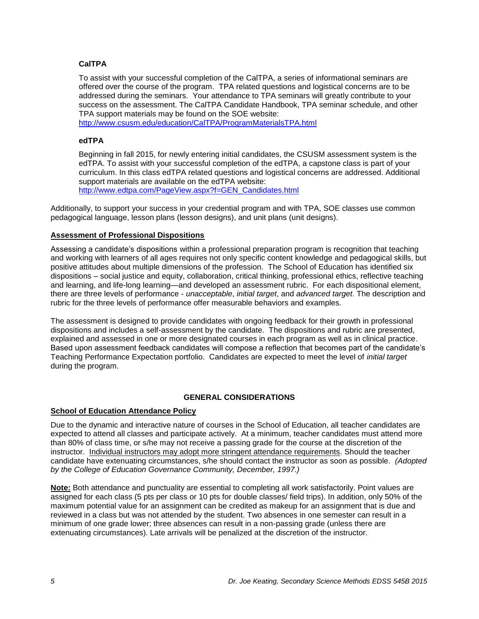# <span id="page-4-0"></span>**CalTPA**

To assist with your successful completion of the CalTPA, a series of informational seminars are offered over the course of the program. TPA related questions and logistical concerns are to be addressed during the seminars. Your attendance to TPA seminars will greatly contribute to your success on the assessment. The CalTPA Candidate Handbook, TPA seminar schedule, and other TPA support materials may be found on the SOE website:

<http://www.csusm.edu/education/CalTPA/ProgramMaterialsTPA.html>

## <span id="page-4-1"></span>**edTPA**

Beginning in fall 2015, for newly entering initial candidates, the CSUSM assessment system is the edTPA. To assist with your successful completion of the edTPA, a capstone class is part of your curriculum. In this class edTPA related questions and logistical concerns are addressed. Additional support materials are available on the edTPA website: [http://www.edtpa.com/PageView.aspx?f=GEN\\_Candidates.html](http://www.edtpa.com/PageView.aspx?f=GEN_Candidates.html)

Additionally, to support your success in your credential program and with TPA, SOE classes use common pedagogical language, lesson plans (lesson designs), and unit plans (unit designs).

## <span id="page-4-2"></span>**Assessment of Professional Dispositions**

Assessing a candidate's dispositions within a professional preparation program is recognition that teaching and working with learners of all ages requires not only specific content knowledge and pedagogical skills, but positive attitudes about multiple dimensions of the profession. The School of Education has identified six dispositions – social justice and equity, collaboration, critical thinking, professional ethics, reflective teaching and learning, and life-long learning—and developed an assessment rubric. For each dispositional element, there are three levels of performance - *unacceptable*, *initial target*, and *advanced target*. The description and rubric for the three levels of performance offer measurable behaviors and examples.

The assessment is designed to provide candidates with ongoing feedback for their growth in professional dispositions and includes a self-assessment by the candidate. The dispositions and rubric are presented, explained and assessed in one or more designated courses in each program as well as in clinical practice. Based upon assessment feedback candidates will compose a reflection that becomes part of the candidate's Teaching Performance Expectation portfolio. Candidates are expected to meet the level of *initial target* during the program.

#### **GENERAL CONSIDERATIONS**

#### <span id="page-4-4"></span><span id="page-4-3"></span>**School of Education Attendance Policy**

Due to the dynamic and interactive nature of courses in the School of Education, all teacher candidates are expected to attend all classes and participate actively. At a minimum, teacher candidates must attend more than 80% of class time, or s/he may not receive a passing grade for the course at the discretion of the instructor. Individual instructors may adopt more stringent attendance requirements. Should the teacher candidate have extenuating circumstances, s/he should contact the instructor as soon as possible. *(Adopted by the College of Education Governance Community, December, 1997.)*

**Note:** Both attendance and punctuality are essential to completing all work satisfactorily. Point values are assigned for each class (5 pts per class or 10 pts for double classes/ field trips). In addition, only 50% of the maximum potential value for an assignment can be credited as makeup for an assignment that is due and reviewed in a class but was not attended by the student. Two absences in one semester can result in a minimum of one grade lower; three absences can result in a non-passing grade (unless there are extenuating circumstances). Late arrivals will be penalized at the discretion of the instructor.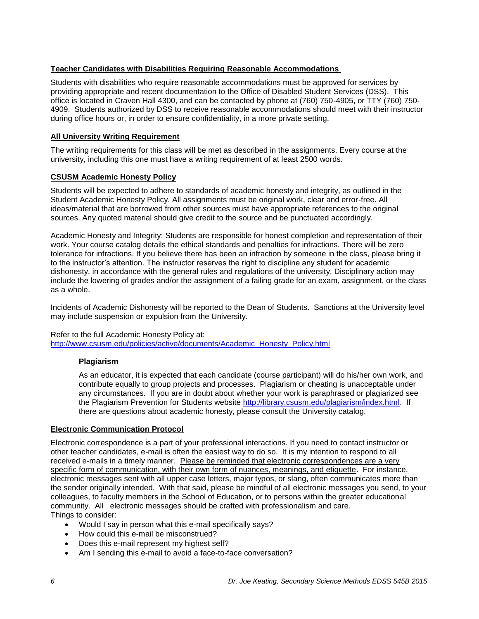# <span id="page-5-0"></span>**Teacher Candidates with Disabilities Requiring Reasonable Accommodations**

Students with disabilities who require reasonable accommodations must be approved for services by providing appropriate and recent documentation to the Office of Disabled Student Services (DSS). This office is located in Craven Hall 4300, and can be contacted by phone at (760) 750-4905, or TTY (760) 750- 4909. Students authorized by DSS to receive reasonable accommodations should meet with their instructor during office hours or, in order to ensure confidentiality, in a more private setting.

# <span id="page-5-1"></span>**All University Writing Requirement**

The writing requirements for this class will be met as described in the assignments. Every course at the university, including this one must have a writing requirement of at least 2500 words.

# <span id="page-5-2"></span>**CSUSM Academic Honesty Policy**

Students will be expected to adhere to standards of academic honesty and integrity, as outlined in the Student Academic Honesty Policy. All assignments must be original work, clear and error-free. All ideas/material that are borrowed from other sources must have appropriate references to the original sources. Any quoted material should give credit to the source and be punctuated accordingly.

Academic Honesty and Integrity: Students are responsible for honest completion and representation of their work. Your course catalog details the ethical standards and penalties for infractions. There will be zero tolerance for infractions. If you believe there has been an infraction by someone in the class, please bring it to the instructor's attention. The instructor reserves the right to discipline any student for academic dishonesty, in accordance with the general rules and regulations of the university. Disciplinary action may include the lowering of grades and/or the assignment of a failing grade for an exam, assignment, or the class as a whole.

Incidents of Academic Dishonesty will be reported to the Dean of Students. Sanctions at the University level may include suspension or expulsion from the University.

#### Refer to the full Academic Honesty Policy at:

<span id="page-5-3"></span>[http://www.csusm.edu/policies/active/documents/Academic\\_Honesty\\_Policy.html](http://www.csusm.edu/policies/active/documents/Academic_Honesty_Policy.html)

# **Plagiarism**

As an educator, it is expected that each candidate (course participant) will do his/her own work, and contribute equally to group projects and processes. Plagiarism or cheating is unacceptable under any circumstances. If you are in doubt about whether your work is paraphrased or plagiarized see the Plagiarism Prevention for Students website [http://library.csusm.edu/plagiarism/index.html.](http://library.csusm.edu/plagiarism/index.html) If there are questions about academic honesty, please consult the University catalog.

# <span id="page-5-4"></span>**Electronic Communication Protocol**

Electronic correspondence is a part of your professional interactions. If you need to contact instructor or other teacher candidates, e-mail is often the easiest way to do so. It is my intention to respond to all received e-mails in a timely manner. Please be reminded that electronic correspondences are a very specific form of communication, with their own form of nuances, meanings, and etiquette. For instance, electronic messages sent with all upper case letters, major typos, or slang, often communicates more than the sender originally intended. With that said, please be mindful of all electronic messages you send, to your colleagues, to faculty members in the School of Education, or to persons within the greater educational community. All electronic messages should be crafted with professionalism and care. Things to consider:

- Would I say in person what this e-mail specifically says?
- How could this e-mail be misconstrued?
- Does this e-mail represent my highest self?
- Am I sending this e-mail to avoid a face-to-face conversation?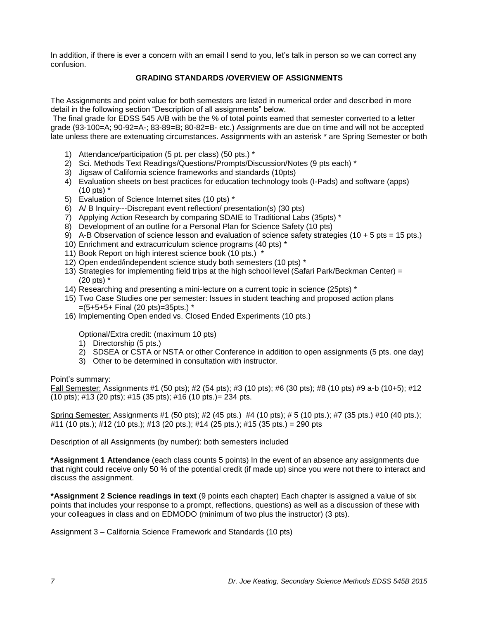<span id="page-6-0"></span>In addition, if there is ever a concern with an email I send to you, let's talk in person so we can correct any confusion.

# **GRADING STANDARDS /OVERVIEW OF ASSIGNMENTS**

The Assignments and point value for both semesters are listed in numerical order and described in more detail in the following section "Description of all assignments" below.

The final grade for EDSS 545 A/B with be the % of total points earned that semester converted to a letter grade (93-100=A; 90-92=A-; 83-89=B; 80-82=B- etc.) Assignments are due on time and will not be accepted late unless there are extenuating circumstances. Assignments with an asterisk \* are Spring Semester or both

- 1) Attendance/participation (5 pt. per class) (50 pts.) \*
- 2) Sci. Methods Text Readings/Questions/Prompts/Discussion/Notes (9 pts each) \*
- 3) Jigsaw of California science frameworks and standards (10pts)
- 4) Evaluation sheets on best practices for education technology tools (I-Pads) and software (apps) (10 pts) \*
- 5) Evaluation of Science Internet sites (10 pts) \*
- 6) A/ B Inquiry---Discrepant event reflection/ presentation(s) (30 pts)
- 7) Applying Action Research by comparing SDAIE to Traditional Labs (35pts) \*
- 8) Development of an outline for a Personal Plan for Science Safety (10 pts)
- 9) A-B Observation of science lesson and evaluation of science safety strategies (10 + 5 pts = 15 pts.)
- 10) Enrichment and extracurriculum science programs (40 pts) \*
- 11) Book Report on high interest science book (10 pts.)
- 12) Open ended/independent science study both semesters (10 pts) \*
- 13) Strategies for implementing field trips at the high school level (Safari Park/Beckman Center) = (20 pts) \*
- 14) Researching and presenting a mini-lecture on a current topic in science (25pts) \*
- 15) Two Case Studies one per semester: Issues in student teaching and proposed action plans  $=(5+5+5+$  Final (20 pts)=35pts.) \*
- 16) Implementing Open ended vs. Closed Ended Experiments (10 pts.)

Optional/Extra credit: (maximum 10 pts)

- 1) Directorship (5 pts.)
- 2) SDSEA or CSTA or NSTA or other Conference in addition to open assignments (5 pts. one day)
- 3) Other to be determined in consultation with instructor.

Point's summary:

Fall Semester: Assignments #1 (50 pts); #2 (54 pts); #3 (10 pts); #6 (30 pts); #8 (10 pts) #9 a-b (10+5); #12 (10 pts); #13 (20 pts); #15 (35 pts); #16 (10 pts.)= 234 pts.

Spring Semester: Assignments #1 (50 pts); #2 (45 pts.) #4 (10 pts); #5 (10 pts.); #7 (35 pts.) #10 (40 pts.); #11 (10 pts.); #12 (10 pts.); #13 (20 pts.); #14 (25 pts.); #15 (35 pts.) = 290 pts

Description of all Assignments (by number): both semesters included

**\*Assignment 1 Attendance** (each class counts 5 points) In the event of an absence any assignments due that night could receive only 50 % of the potential credit (if made up) since you were not there to interact and discuss the assignment.

**\*Assignment 2 Science readings in text** (9 points each chapter) Each chapter is assigned a value of six points that includes your response to a prompt, reflections, questions) as well as a discussion of these with your colleagues in class and on EDMODO (minimum of two plus the instructor) (3 pts).

Assignment 3 – California Science Framework and Standards (10 pts)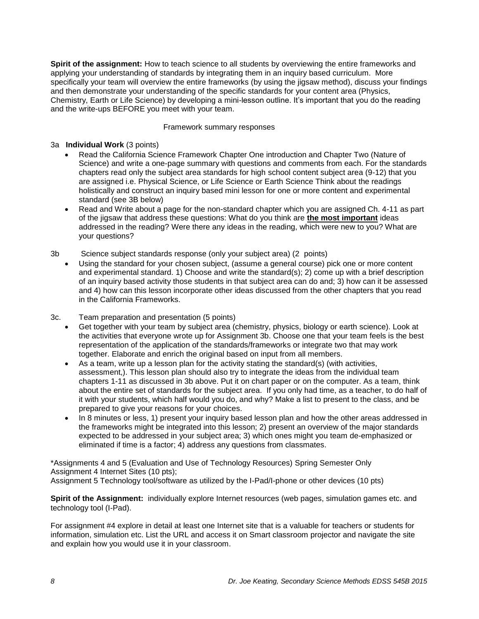**Spirit of the assignment:** How to teach science to all students by overviewing the entire frameworks and applying your understanding of standards by integrating them in an inquiry based curriculum. More specifically your team will overview the entire frameworks (by using the jigsaw method), discuss your findings and then demonstrate your understanding of the specific standards for your content area (Physics, Chemistry, Earth or Life Science) by developing a mini-lesson outline. It's important that you do the reading and the write-ups BEFORE you meet with your team.

#### Framework summary responses

## 3a **Individual Work** (3 points)

- Read the California Science Framework Chapter One introduction and Chapter Two (Nature of Science) and write a one-page summary with questions and comments from each. For the standards chapters read only the subject area standards for high school content subject area (9-12) that you are assigned i.e. Physical Science, or Life Science or Earth Science Think about the readings holistically and construct an inquiry based mini lesson for one or more content and experimental standard (see 3B below)
- Read and Write about a page for the non-standard chapter which you are assigned Ch. 4-11 as part of the jigsaw that address these questions: What do you think are **the most important** ideas addressed in the reading? Were there any ideas in the reading, which were new to you? What are your questions?
- 3b Science subject standards response (only your subject area) (2 points)
	- Using the standard for your chosen subject, (assume a general course) pick one or more content and experimental standard. 1) Choose and write the standard(s); 2) come up with a brief description of an inquiry based activity those students in that subject area can do and; 3) how can it be assessed and 4) how can this lesson incorporate other ideas discussed from the other chapters that you read in the California Frameworks.
- 3c. Team preparation and presentation (5 points)
	- Get together with your team by subject area (chemistry, physics, biology or earth science). Look at the activities that everyone wrote up for Assignment 3b. Choose one that your team feels is the best representation of the application of the standards/frameworks or integrate two that may work together. Elaborate and enrich the original based on input from all members.
	- As a team, write up a lesson plan for the activity stating the standard(s) (with activities, assessment,). This lesson plan should also try to integrate the ideas from the individual team chapters 1-11 as discussed in 3b above. Put it on chart paper or on the computer. As a team, think about the entire set of standards for the subject area. If you only had time, as a teacher, to do half of it with your students, which half would you do, and why? Make a list to present to the class, and be prepared to give your reasons for your choices.
	- In 8 minutes or less, 1) present your inquiry based lesson plan and how the other areas addressed in the frameworks might be integrated into this lesson; 2) present an overview of the major standards expected to be addressed in your subject area; 3) which ones might you team de-emphasized or eliminated if time is a factor; 4) address any questions from classmates.

\*Assignments 4 and 5 (Evaluation and Use of Technology Resources) Spring Semester Only Assignment 4 Internet Sites (10 pts); Assignment 5 Technology tool/software as utilized by the I-Pad/I-phone or other devices (10 pts)

**Spirit of the Assignment:** individually explore Internet resources (web pages, simulation games etc. and technology tool (I-Pad).

For assignment #4 explore in detail at least one Internet site that is a valuable for teachers or students for information, simulation etc. List the URL and access it on Smart classroom projector and navigate the site and explain how you would use it in your classroom.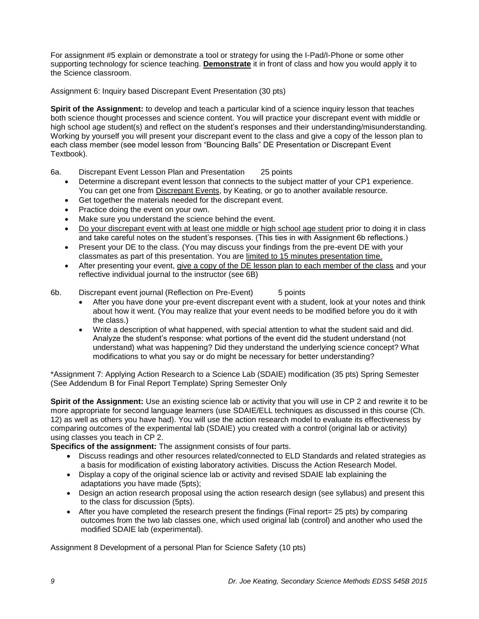For assignment #5 explain or demonstrate a tool or strategy for using the I-Pad/I-Phone or some other supporting technology for science teaching. **Demonstrate** it in front of class and how you would apply it to the Science classroom.

Assignment 6: Inquiry based Discrepant Event Presentation (30 pts)

**Spirit of the Assignment:** to develop and teach a particular kind of a science inquiry lesson that teaches both science thought processes and science content. You will practice your discrepant event with middle or high school age student(s) and reflect on the student's responses and their understanding/misunderstanding. Working by yourself you will present your discrepant event to the class and give a copy of the lesson plan to each class member (see model lesson from "Bouncing Balls" DE Presentation or Discrepant Event Textbook).

- 6a. Discrepant Event Lesson Plan and Presentation 25 points
	- Determine a discrepant event lesson that connects to the subject matter of your CP1 experience. You can get one from Discrepant Events, by Keating, or go to another available resource.
	- Get together the materials needed for the discrepant event.
	- Practice doing the event on your own.
	- Make sure you understand the science behind the event.
	- Do your discrepant event with at least one middle or high school age student prior to doing it in class and take careful notes on the student's responses. (This ties in with Assignment 6b reflections.)
	- Present your DE to the class. (You may discuss your findings from the pre-event DE with your classmates as part of this presentation. You are limited to 15 minutes presentation time.
	- After presenting your event, give a copy of the DE lesson plan to each member of the class and your reflective individual journal to the instructor (see 6B)
- 6b. Discrepant event journal (Reflection on Pre-Event) 5 points
	- After you have done your pre-event discrepant event with a student, look at your notes and think about how it went. (You may realize that your event needs to be modified before you do it with the class.)
	- Write a description of what happened, with special attention to what the student said and did. Analyze the student's response: what portions of the event did the student understand (not understand) what was happening? Did they understand the underlying science concept? What modifications to what you say or do might be necessary for better understanding?

\*Assignment 7: Applying Action Research to a Science Lab (SDAIE) modification (35 pts) Spring Semester (See Addendum B for Final Report Template) Spring Semester Only

**Spirit of the Assignment:** Use an existing science lab or activity that you will use in CP 2 and rewrite it to be more appropriate for second language learners (use SDAIE/ELL techniques as discussed in this course (Ch. 12) as well as others you have had). You will use the action research model to evaluate its effectiveness by comparing outcomes of the experimental lab (SDAIE) you created with a control (original lab or activity) using classes you teach in CP 2.

**Specifics of the assignment:** The assignment consists of four parts.

- Discuss readings and other resources related/connected to ELD Standards and related strategies as a basis for modification of existing laboratory activities. Discuss the Action Research Model.
- Display a copy of the original science lab or activity and revised SDAIE lab explaining the adaptations you have made (5pts);
- Design an action research proposal using the action research design (see syllabus) and present this to the class for discussion (5pts).
- After you have completed the research present the findings (Final report= 25 pts) by comparing outcomes from the two lab classes one, which used original lab (control) and another who used the modified SDAIE lab (experimental).

Assignment 8 Development of a personal Plan for Science Safety (10 pts)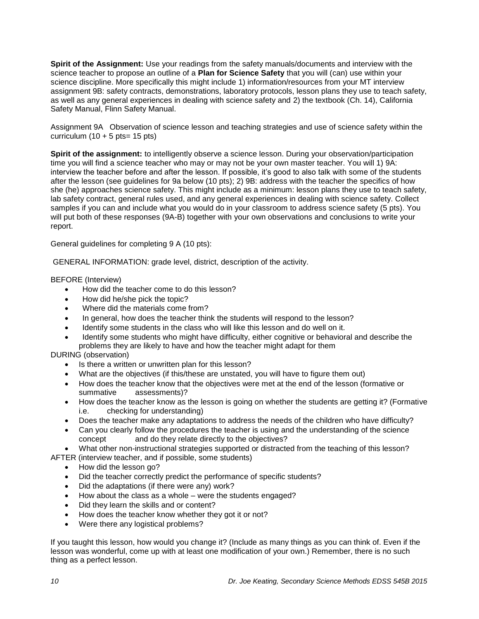**Spirit of the Assignment:** Use your readings from the safety manuals/documents and interview with the science teacher to propose an outline of a **Plan for Science Safety** that you will (can) use within your science discipline. More specifically this might include 1) information/resources from your MT interview assignment 9B: safety contracts, demonstrations, laboratory protocols, lesson plans they use to teach safety, as well as any general experiences in dealing with science safety and 2) the textbook (Ch. 14), California Safety Manual, Flinn Safety Manual.

Assignment 9A Observation of science lesson and teaching strategies and use of science safety within the curriculum  $(10 + 5 \text{ pts} = 15 \text{ pts})$ 

**Spirit of the assignment:** to intelligently observe a science lesson. During your observation/participation time you will find a science teacher who may or may not be your own master teacher. You will 1) 9A: interview the teacher before and after the lesson. If possible, it's good to also talk with some of the students after the lesson (see guidelines for 9a below (10 pts); 2) 9B: address with the teacher the specifics of how she (he) approaches science safety. This might include as a minimum: lesson plans they use to teach safety, lab safety contract, general rules used, and any general experiences in dealing with science safety. Collect samples if you can and include what you would do in your classroom to address science safety (5 pts). You will put both of these responses (9A-B) together with your own observations and conclusions to write your report.

General guidelines for completing 9 A (10 pts):

GENERAL INFORMATION: grade level, district, description of the activity.

## BEFORE (Interview)

- How did the teacher come to do this lesson?
- How did he/she pick the topic?
- Where did the materials come from?
- In general, how does the teacher think the students will respond to the lesson?
- Identify some students in the class who will like this lesson and do well on it.
- Identify some students who might have difficulty, either cognitive or behavioral and describe the problems they are likely to have and how the teacher might adapt for them

DURING (observation)

- Is there a written or unwritten plan for this lesson?
- What are the objectives (if this/these are unstated, you will have to figure them out)
- How does the teacher know that the objectives were met at the end of the lesson (formative or summative assessments)?
- How does the teacher know as the lesson is going on whether the students are getting it? (Formative i.e. checking for understanding)
- Does the teacher make any adaptations to address the needs of the children who have difficulty?
- Can you clearly follow the procedures the teacher is using and the understanding of the science concept and do they relate directly to the objectives?
- What other non-instructional strategies supported or distracted from the teaching of this lesson? AFTER (interview teacher, and if possible, some students)
	- How did the lesson go?
	- Did the teacher correctly predict the performance of specific students?
	- Did the adaptations (if there were any) work?
	- How about the class as a whole were the students engaged?
	- Did they learn the skills and or content?
	- How does the teacher know whether they got it or not?
	- Were there any logistical problems?

If you taught this lesson, how would you change it? (Include as many things as you can think of. Even if the lesson was wonderful, come up with at least one modification of your own.) Remember, there is no such thing as a perfect lesson.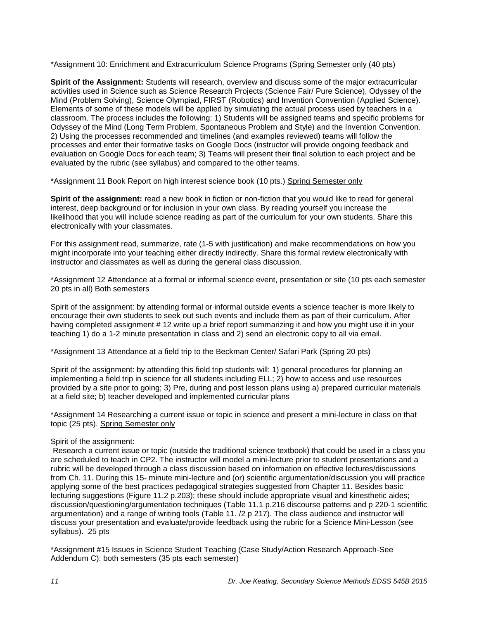\*Assignment 10: Enrichment and Extracurriculum Science Programs (Spring Semester only (40 pts)

**Spirit of the Assignment:** Students will research, overview and discuss some of the major extracurricular activities used in Science such as Science Research Projects (Science Fair/ Pure Science), Odyssey of the Mind (Problem Solving), Science Olympiad, FIRST (Robotics) and Invention Convention (Applied Science). Elements of some of these models will be applied by simulating the actual process used by teachers in a classroom. The process includes the following: 1) Students will be assigned teams and specific problems for Odyssey of the Mind (Long Term Problem, Spontaneous Problem and Style) and the Invention Convention. 2) Using the processes recommended and timelines (and examples reviewed) teams will follow the processes and enter their formative tasks on Google Docs (instructor will provide ongoing feedback and evaluation on Google Docs for each team; 3) Teams will present their final solution to each project and be evaluated by the rubric (see syllabus) and compared to the other teams.

\*Assignment 11 Book Report on high interest science book (10 pts.) Spring Semester only

**Spirit of the assignment:** read a new book in fiction or non-fiction that you would like to read for general interest, deep background or for inclusion in your own class. By reading yourself you increase the likelihood that you will include science reading as part of the curriculum for your own students. Share this electronically with your classmates.

For this assignment read, summarize, rate (1-5 with justification) and make recommendations on how you might incorporate into your teaching either directly indirectly. Share this formal review electronically with instructor and classmates as well as during the general class discussion.

\*Assignment 12 Attendance at a formal or informal science event, presentation or site (10 pts each semester 20 pts in all) Both semesters

Spirit of the assignment: by attending formal or informal outside events a science teacher is more likely to encourage their own students to seek out such events and include them as part of their curriculum. After having completed assignment # 12 write up a brief report summarizing it and how you might use it in your teaching 1) do a 1-2 minute presentation in class and 2) send an electronic copy to all via email.

\*Assignment 13 Attendance at a field trip to the Beckman Center/ Safari Park (Spring 20 pts)

Spirit of the assignment: by attending this field trip students will: 1) general procedures for planning an implementing a field trip in science for all students including ELL; 2) how to access and use resources provided by a site prior to going; 3) Pre, during and post lesson plans using a) prepared curricular materials at a field site; b) teacher developed and implemented curricular plans

\*Assignment 14 Researching a current issue or topic in science and present a mini-lecture in class on that topic (25 pts). Spring Semester only

#### Spirit of the assignment:

Research a current issue or topic (outside the traditional science textbook) that could be used in a class you are scheduled to teach in CP2. The instructor will model a mini-lecture prior to student presentations and a rubric will be developed through a class discussion based on information on effective lectures/discussions from Ch. 11. During this 15- minute mini-lecture and (or) scientific argumentation/discussion you will practice applying some of the best practices pedagogical strategies suggested from Chapter 11. Besides basic lecturing suggestions (Figure 11.2 p.203); these should include appropriate visual and kinesthetic aides; discussion/questioning/argumentation techniques (Table 11.1 p.216 discourse patterns and p 220-1 scientific argumentation) and a range of writing tools (Table 11. /2 p 217). The class audience and instructor will discuss your presentation and evaluate/provide feedback using the rubric for a Science Mini-Lesson (see syllabus). 25 pts

\*Assignment #15 Issues in Science Student Teaching (Case Study/Action Research Approach-See Addendum C): both semesters (35 pts each semester)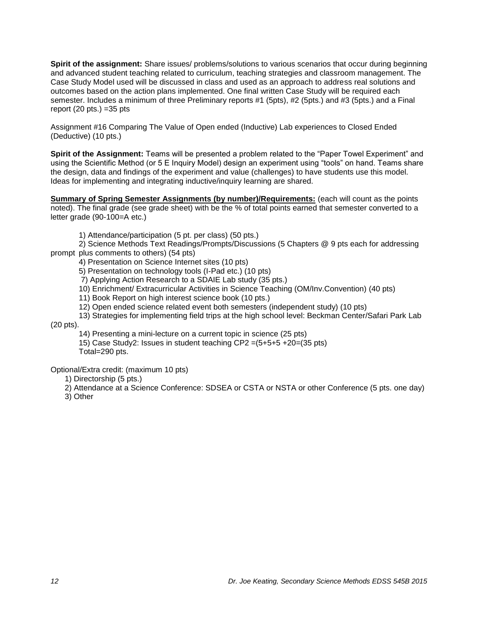**Spirit of the assignment:** Share issues/ problems/solutions to various scenarios that occur during beginning and advanced student teaching related to curriculum, teaching strategies and classroom management. The Case Study Model used will be discussed in class and used as an approach to address real solutions and outcomes based on the action plans implemented. One final written Case Study will be required each semester. Includes a minimum of three Preliminary reports #1 (5pts), #2 (5pts.) and #3 (5pts.) and a Final report  $(20 \text{ pts.}) = 35 \text{ pts.}$ 

Assignment #16 Comparing The Value of Open ended (Inductive) Lab experiences to Closed Ended (Deductive) (10 pts.)

**Spirit of the Assignment:** Teams will be presented a problem related to the "Paper Towel Experiment" and using the Scientific Method (or 5 E Inquiry Model) design an experiment using "tools" on hand. Teams share the design, data and findings of the experiment and value (challenges) to have students use this model. Ideas for implementing and integrating inductive/inquiry learning are shared.

**Summary of Spring Semester Assignments (by number)/Requirements:** (each will count as the points noted). The final grade (see grade sheet) with be the % of total points earned that semester converted to a letter grade (90-100=A etc.)

1) Attendance/participation (5 pt. per class) (50 pts.)

2) Science Methods Text Readings/Prompts/Discussions (5 Chapters @ 9 pts each for addressing prompt plus comments to others) (54 pts)

4) Presentation on Science Internet sites (10 pts)

5) Presentation on technology tools (I-Pad etc.) (10 pts)

7) Applying Action Research to a SDAIE Lab study (35 pts.)

10) Enrichment/ Extracurricular Activities in Science Teaching (OM/Inv.Convention) (40 pts)

11) Book Report on high interest science book (10 pts.)

12) Open ended science related event both semesters (independent study) (10 pts)

13) Strategies for implementing field trips at the high school level: Beckman Center/Safari Park Lab

(20 pts).

14) Presenting a mini-lecture on a current topic in science (25 pts)

15) Case Study2: Issues in student teaching CP2 =(5+5+5 +20=(35 pts) Total=290 pts.

Optional/Extra credit: (maximum 10 pts)

1) Directorship (5 pts.)

2) Attendance at a Science Conference: SDSEA or CSTA or NSTA or other Conference (5 pts. one day)

3) Other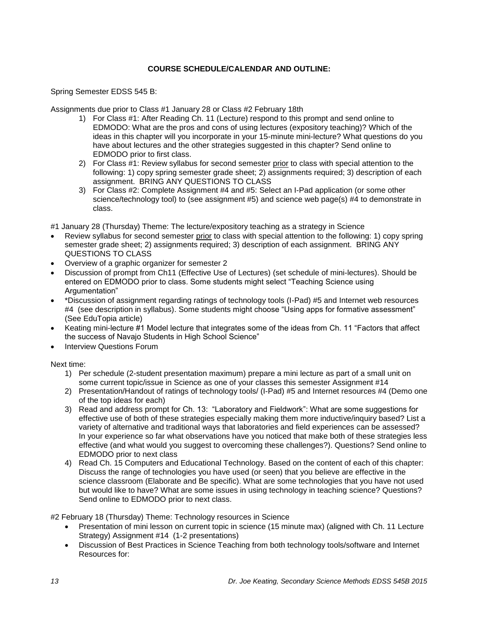# **COURSE SCHEDULE/CALENDAR AND OUTLINE:**

<span id="page-12-0"></span>Spring Semester EDSS 545 B:

Assignments due prior to Class #1 January 28 or Class #2 February 18th

- 1) For Class #1: After Reading Ch. 11 (Lecture) respond to this prompt and send online to EDMODO: What are the pros and cons of using lectures (expository teaching)? Which of the ideas in this chapter will you incorporate in your 15-minute mini-lecture? What questions do you have about lectures and the other strategies suggested in this chapter? Send online to EDMODO prior to first class.
- 2) For Class #1: Review syllabus for second semester prior to class with special attention to the following: 1) copy spring semester grade sheet; 2) assignments required; 3) description of each assignment. BRING ANY QUESTIONS TO CLASS
- 3) For Class #2: Complete Assignment #4 and #5: Select an I-Pad application (or some other science/technology tool) to (see assignment #5) and science web page(s) #4 to demonstrate in class.

#1 January 28 (Thursday) Theme: The lecture/expository teaching as a strategy in Science

- Review syllabus for second semester prior to class with special attention to the following: 1) copy spring semester grade sheet; 2) assignments required; 3) description of each assignment. BRING ANY QUESTIONS TO CLASS
- Overview of a graphic organizer for semester 2
- Discussion of prompt from Ch11 (Effective Use of Lectures) (set schedule of mini-lectures). Should be entered on EDMODO prior to class. Some students might select "Teaching Science using Argumentation"
- \*Discussion of assignment regarding ratings of technology tools (I-Pad) #5 and Internet web resources #4 (see description in syllabus). Some students might choose "Using apps for formative assessment" (See EduTopia article)
- Keating mini-lecture #1 Model lecture that integrates some of the ideas from Ch. 11 "Factors that affect the success of Navajo Students in High School Science"
- Interview Questions Forum

Next time:

- 1) Per schedule (2-student presentation maximum) prepare a mini lecture as part of a small unit on some current topic/issue in Science as one of your classes this semester Assignment #14
- 2) Presentation/Handout of ratings of technology tools/ (I-Pad) #5 and Internet resources #4 (Demo one of the top ideas for each)
- 3) Read and address prompt for Ch. 13: "Laboratory and Fieldwork": What are some suggestions for effective use of both of these strategies especially making them more inductive/inquiry based? List a variety of alternative and traditional ways that laboratories and field experiences can be assessed? In your experience so far what observations have you noticed that make both of these strategies less effective (and what would you suggest to overcoming these challenges?). Questions? Send online to EDMODO prior to next class
- 4) Read Ch. 15 Computers and Educational Technology. Based on the content of each of this chapter: Discuss the range of technologies you have used (or seen) that you believe are effective in the science classroom (Elaborate and Be specific). What are some technologies that you have not used but would like to have? What are some issues in using technology in teaching science? Questions? Send online to EDMODO prior to next class.

#2 February 18 (Thursday) Theme: Technology resources in Science

- Presentation of mini lesson on current topic in science (15 minute max) (aligned with Ch. 11 Lecture Strategy) Assignment #14 (1-2 presentations)
- Discussion of Best Practices in Science Teaching from both technology tools/software and Internet Resources for: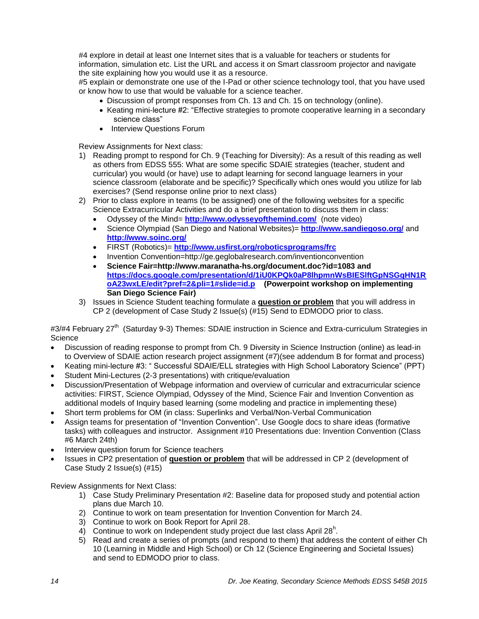#4 explore in detail at least one Internet sites that is a valuable for teachers or students for information, simulation etc. List the URL and access it on Smart classroom projector and navigate the site explaining how you would use it as a resource.

#5 explain or demonstrate one use of the I-Pad or other science technology tool, that you have used or know how to use that would be valuable for a science teacher.

- Discussion of prompt responses from Ch. 13 and Ch. 15 on technology (online).
- Keating mini-lecture #2: "Effective strategies to promote cooperative learning in a secondary science class"
- Interview Questions Forum

Review Assignments for Next class:

- 1) Reading prompt to respond for Ch. 9 (Teaching for Diversity): As a result of this reading as well as others from EDSS 555: What are some specific SDAIE strategies (teacher, student and curricular) you would (or have) use to adapt learning for second language learners in your science classroom (elaborate and be specific)? Specifically which ones would you utilize for lab exercises? (Send response online prior to next class)
- 2) Prior to class explore in teams (to be assigned) one of the following websites for a specific Science Extracurricular Activities and do a brief presentation to discuss them in class:
	- Odyssey of the Mind= **<http://www.odysseyofthemind.com/>** (note video)
	- Science Olympiad (San Diego and National Websites)= **<http://www.sandiegoso.org/>** and **<http://www.soinc.org/>**
	- FIRST (Robotics)= **<http://www.usfirst.org/roboticsprograms/frc>**
	- Invention Convention=http://ge.geglobalresearch.com/inventionconvention
	- **Science Fair=http://www.maranatha-hs.org/document.doc?id=1083 and [https://docs.google.com/presentation/d/1iU0KPQk0aP8lhpmnWsBIESlftGpNSGqHN1R](https://docs.google.com/presentation/d/1iU0KPQk0aP8lhpmnWsBIESlftGpNSGqHN1RoA23wxLE/edit?pref=2&pli=1#slide=id.p) [oA23wxLE/edit?pref=2&pli=1#slide=id.p](https://docs.google.com/presentation/d/1iU0KPQk0aP8lhpmnWsBIESlftGpNSGqHN1RoA23wxLE/edit?pref=2&pli=1#slide=id.p) (Powerpoint workshop on implementing San Diego Science Fair)**
- 3) Issues in Science Student teaching formulate a **question or problem** that you will address in CP 2 (development of Case Study 2 Issue(s) (#15) Send to EDMODO prior to class.

#3/#4 February 27<sup>th</sup> (Saturday 9-3) Themes: SDAIE instruction in Science and Extra-curriculum Strategies in **Science** 

- Discussion of reading response to prompt from Ch. 9 Diversity in Science Instruction (online) as lead-in to Overview of SDAIE action research project assignment (#7)(see addendum B for format and process)
- Keating mini-lecture #3: " Successful SDAIE/ELL strategies with High School Laboratory Science" (PPT)
- Student Mini-Lectures (2-3 presentations) with critique/evaluation
- Discussion/Presentation of Webpage information and overview of curricular and extracurricular science activities: FIRST, Science Olympiad, Odyssey of the Mind, Science Fair and Invention Convention as additional models of Inquiry based learning (some modeling and practice in implementing these)
- Short term problems for OM (in class: Superlinks and Verbal/Non-Verbal Communication
- Assign teams for presentation of "Invention Convention". Use Google docs to share ideas (formative tasks) with colleagues and instructor. Assignment #10 Presentations due: Invention Convention (Class #6 March 24th)
- Interview question forum for Science teachers
- Issues in CP2 presentation of **question or problem** that will be addressed in CP 2 (development of Case Study 2 Issue(s) (#15)

Review Assignments for Next Class:

- 1) Case Study Preliminary Presentation #2: Baseline data for proposed study and potential action plans due March 10.
- 2) Continue to work on team presentation for Invention Convention for March 24.
- 3) Continue to work on Book Report for April 28.
- 4) Continue to work on Independent study project due last class April 28 $^h$ .
- 5) Read and create a series of prompts (and respond to them) that address the content of either Ch 10 (Learning in Middle and High School) or Ch 12 (Science Engineering and Societal Issues) and send to EDMODO prior to class.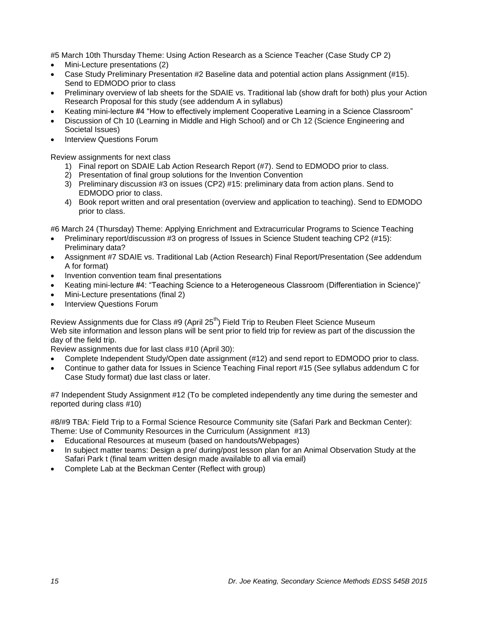#5 March 10th Thursday Theme: Using Action Research as a Science Teacher (Case Study CP 2)

- Mini-Lecture presentations (2)
- Case Study Preliminary Presentation #2 Baseline data and potential action plans Assignment (#15). Send to EDMODO prior to class
- Preliminary overview of lab sheets for the SDAIE vs. Traditional lab (show draft for both) plus your Action Research Proposal for this study (see addendum A in syllabus)
- Keating mini-lecture #4 "How to effectively implement Cooperative Learning in a Science Classroom"
- Discussion of Ch 10 (Learning in Middle and High School) and or Ch 12 (Science Engineering and Societal Issues)
- Interview Questions Forum

Review assignments for next class

- 1) Final report on SDAIE Lab Action Research Report (#7). Send to EDMODO prior to class.
- 2) Presentation of final group solutions for the Invention Convention
- 3) Preliminary discussion #3 on issues (CP2) #15: preliminary data from action plans. Send to EDMODO prior to class.
- 4) Book report written and oral presentation (overview and application to teaching). Send to EDMODO prior to class.

#6 March 24 (Thursday) Theme: Applying Enrichment and Extracurricular Programs to Science Teaching

- Preliminary report/discussion #3 on progress of Issues in Science Student teaching CP2 (#15): Preliminary data?
- Assignment #7 SDAIE vs. Traditional Lab (Action Research) Final Report/Presentation (See addendum A for format)
- Invention convention team final presentations
- Keating mini-lecture #4: "Teaching Science to a Heterogeneous Classroom (Differentiation in Science)"
- Mini-Lecture presentations (final 2)
- Interview Questions Forum

Review Assignments due for Class #9 (April 25<sup>th</sup>) Field Trip to Reuben Fleet Science Museum Web site information and lesson plans will be sent prior to field trip for review as part of the discussion the day of the field trip.

Review assignments due for last class #10 (April 30):

- Complete Independent Study/Open date assignment (#12) and send report to EDMODO prior to class.
- Continue to gather data for Issues in Science Teaching Final report #15 (See syllabus addendum C for Case Study format) due last class or later.

#7 Independent Study Assignment #12 (To be completed independently any time during the semester and reported during class #10)

#8/#9 TBA: Field Trip to a Formal Science Resource Community site (Safari Park and Beckman Center): Theme: Use of Community Resources in the Curriculum (Assignment #13)

- Educational Resources at museum (based on handouts/Webpages)
- In subject matter teams: Design a pre/ during/post lesson plan for an Animal Observation Study at the Safari Park t (final team written design made available to all via email)
- Complete Lab at the Beckman Center (Reflect with group)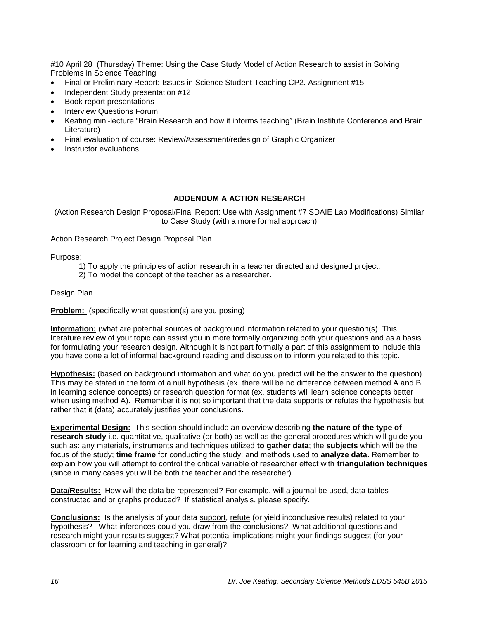#10 April 28 (Thursday) Theme: Using the Case Study Model of Action Research to assist in Solving Problems in Science Teaching

- Final or Preliminary Report: Issues in Science Student Teaching CP2. Assignment #15
- Independent Study presentation #12
- Book report presentations
- Interview Questions Forum
- Keating mini-lecture "Brain Research and how it informs teaching" (Brain Institute Conference and Brain Literature)
- Final evaluation of course: Review/Assessment/redesign of Graphic Organizer
- Instructor evaluations

## **ADDENDUM A ACTION RESEARCH**

<span id="page-15-0"></span>(Action Research Design Proposal/Final Report: Use with Assignment #7 SDAIE Lab Modifications) Similar to Case Study (with a more formal approach)

Action Research Project Design Proposal Plan

Purpose:

- 1) To apply the principles of action research in a teacher directed and designed project.
- 2) To model the concept of the teacher as a researcher.

Design Plan

**Problem:** (specifically what question(s) are you posing)

**Information:** (what are potential sources of background information related to your question(s). This literature review of your topic can assist you in more formally organizing both your questions and as a basis for formulating your research design. Although it is not part formally a part of this assignment to include this you have done a lot of informal background reading and discussion to inform you related to this topic.

**Hypothesis:** (based on background information and what do you predict will be the answer to the question). This may be stated in the form of a null hypothesis (ex. there will be no difference between method A and B in learning science concepts) or research question format (ex. students will learn science concepts better when using method A). Remember it is not so important that the data supports or refutes the hypothesis but rather that it (data) accurately justifies your conclusions.

**Experimental Design:** This section should include an overview describing **the nature of the type of research study** i.e. quantitative, qualitative (or both) as well as the general procedures which will guide you such as: any materials, instruments and techniques utilized **to gather data**; the **subjects** which will be the focus of the study; **time frame** for conducting the study; and methods used to **analyze data.** Remember to explain how you will attempt to control the critical variable of researcher effect with **triangulation techniques** (since in many cases you will be both the teacher and the researcher).

**Data/Results:** How will the data be represented? For example, will a journal be used, data tables constructed and or graphs produced? If statistical analysis, please specify.

**Conclusions:** Is the analysis of your data support, refute (or yield inconclusive results) related to your hypothesis? What inferences could you draw from the conclusions? What additional questions and research might your results suggest? What potential implications might your findings suggest (for your classroom or for learning and teaching in general)?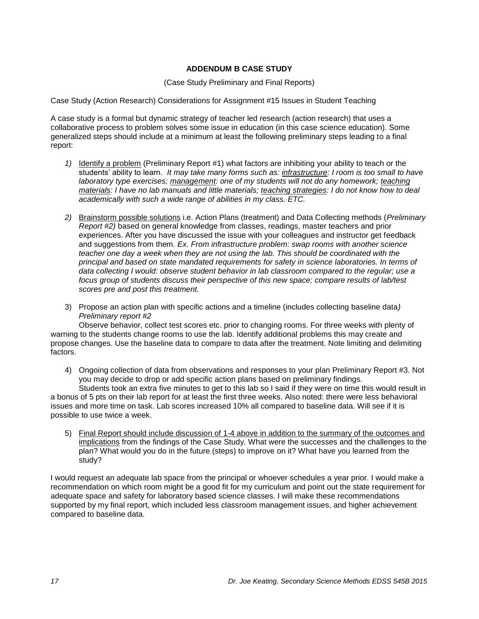# **ADDENDUM B CASE STUDY**

(Case Study Preliminary and Final Reports)

<span id="page-16-0"></span>Case Study (Action Research) Considerations for Assignment #15 Issues in Student Teaching

A case study is a formal but dynamic strategy of teacher led research (action research) that uses a collaborative process to problem solves some issue in education (in this case science education). Some generalized steps should include at a minimum at least the following preliminary steps leading to a final report:

- *1)* Identify a problem (Preliminary Report #1) what factors are inhibiting your ability to teach or the students' ability to learn. *It may take many forms such as: infrastructure: I room is too small to have laboratory type exercises; management: one of my students will not do any homework; teaching materials: I have no lab manuals and little materials; teaching strategies: I do not know how to deal academically with such a wide range of abilities in my class. ETC.*
- *2)* Brainstorm possible solutions i.e. Action Plans (treatment) and Data Collecting methods (*Preliminary Report #2)* based on general knowledge from classes, readings, master teachers and prior experiences. After you have discussed the issue with your colleagues and instructor get feedback and suggestions from them. *Ex. From infrastructure problem: swap rooms with another science teacher one day a week when they are not using the lab. This should be coordinated with the principal and based on state mandated requirements for safety in science laboratories. In terms of data collecting I would: observe student behavior in lab classroom compared to the regular; use a focus group of students discuss their perspective of this new space; compare results of lab/test scores pre and post this treatment.*
- 3) Propose an action plan with specific actions and a timeline (includes collecting baseline data*) Preliminary report #2*

Observe behavior, collect test scores etc. prior to changing rooms. For three weeks with plenty of warning to the students change rooms to use the lab. Identify additional problems this may create and propose changes. Use the baseline data to compare to data after the treatment. Note limiting and delimiting factors.

4) Ongoing collection of data from observations and responses to your plan Preliminary Report #3. Not you may decide to drop or add specific action plans based on preliminary findings.

Students took an extra five minutes to get to this lab so I said if they were on time this would result in a bonus of 5 pts on their lab report for at least the first three weeks. Also noted: there were less behavioral issues and more time on task. Lab scores increased 10% all compared to baseline data. Will see if it is possible to use twice a week.

5) Final Report should include discussion of 1-4 above in addition to the summary of the outcomes and implications from the findings of the Case Study. What were the successes and the challenges to the plan? What would you do in the future (steps) to improve on it? What have you learned from the study?

I would request an adequate lab space from the principal or whoever schedules a year prior. I would make a recommendation on which room might be a good fit for my curriculum and point out the state requirement for adequate space and safety for laboratory based science classes. I will make these recommendations supported by my final report, which included less classroom management issues, and higher achievement compared to baseline data.